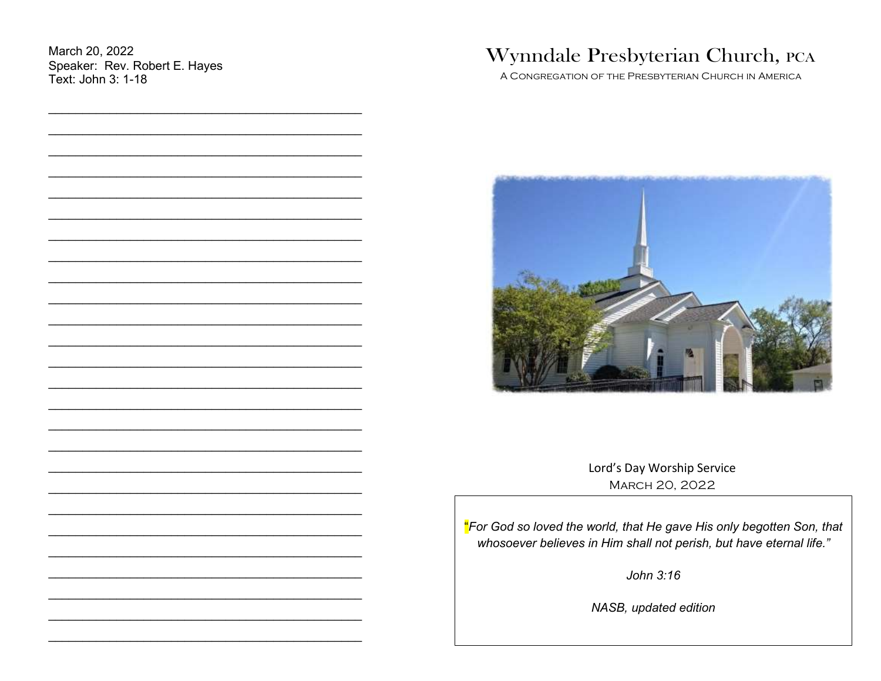March 20, 2022 Speaker: Rev. Robert E. Hayes Text: John 3: 1-18

# Wynndale Presbyterian Church, PCA

A CONGREGATION OF THE PRESBYTERIAN CHURCH IN AMERICA



Lord's Day Worship Service MARCH 20, 2022

"For God so loved the world, that He gave His only begotten Son, that whosoever believes in Him shall not perish, but have eternal life."

John  $3:16$ 

NASB, updated edition